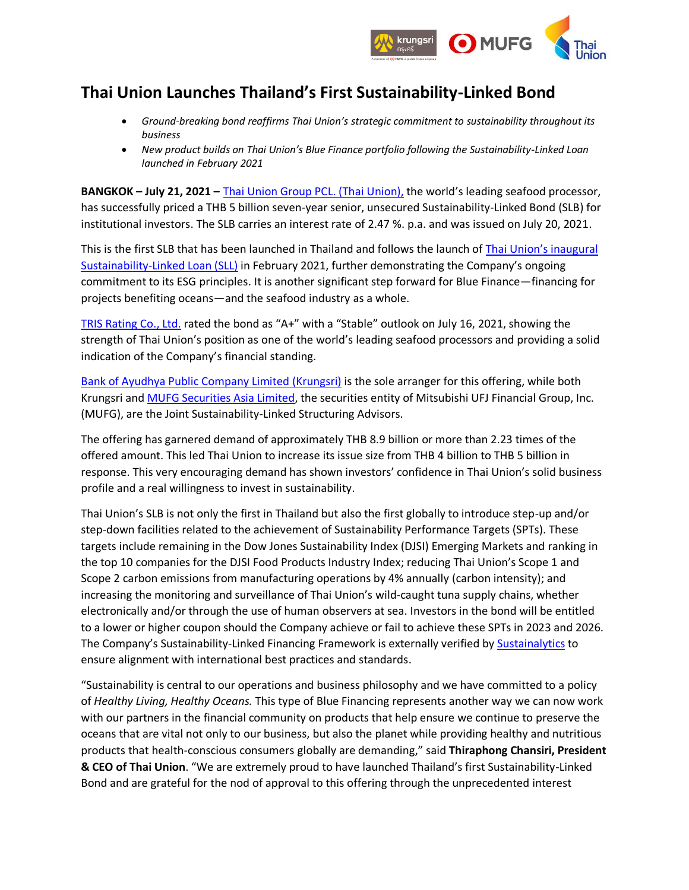

## **Thai Union Launches Thailand's First Sustainability-Linked Bond**

- *Ground-breaking bond reaffirms Thai Union's strategic commitment to sustainability throughout its business*
- *New product builds on Thai Union's Blue Finance portfolio following the Sustainability-Linked Loan launched in February 2021*

**BANGKOK – July 21, 2021 –** [Thai Union Group PCL.](https://www.thaiunion.com/en/) (Thai Union), the world's leading seafood processor, has successfully priced a THB 5 billion seven-year senior, unsecured Sustainability-Linked Bond (SLB) for institutional investors. The SLB carries an interest rate of 2.47 %. p.a. and was issued on July 20, 2021.

This is the first SLB that has been launched in Thailand and follows the launch of [Thai Union's inaugural](https://www.thaiunion.com/en/newsroom/press-release/1292/thai-union-launches-inaugural-sustainability-linked-loan)  [Sustainability-Linked Loan \(SLL\)](https://www.thaiunion.com/en/newsroom/press-release/1292/thai-union-launches-inaugural-sustainability-linked-loan) in February 2021, further demonstrating the Company's ongoing commitment to its ESG principles. It is another significant step forward for Blue Finance—financing for projects benefiting oceans—and the seafood industry as a whole.

[TRIS Rating Co., Ltd.](https://investor.thaiunion.com/credit_rating.html) rated the bond as "A+" with a "Stable" outlook on July 16, 2021, showing the strength of Thai Union's position as one of the world's leading seafood processors and providing a solid indication of the Company's financial standing.

[Bank of Ayudhya Public Company Limited](https://www.krungsri.com/en/personal) (Krungsri) is the sole arranger for this offering, while both Krungsri an[d MUFG Securities Asia Limited,](https://www.hd.sc.mufg.jp/english/company/group_mushk.html) the securities entity of Mitsubishi UFJ Financial Group, Inc. (MUFG), are the Joint Sustainability-Linked Structuring Advisors.

The offering has garnered demand of approximately THB 8.9 billion or more than 2.23 times of the offered amount. This led Thai Union to increase its issue size from THB 4 billion to THB 5 billion in response. This very encouraging demand has shown investors' confidence in Thai Union's solid business profile and a real willingness to invest in sustainability.

Thai Union's SLB is not only the first in Thailand but also the first globally to introduce step-up and/or step-down facilities related to the achievement of Sustainability Performance Targets (SPTs). These targets include remaining in the Dow Jones Sustainability Index (DJSI) Emerging Markets and ranking in the top 10 companies for the DJSI Food Products Industry Index; reducing Thai Union's Scope 1 and Scope 2 carbon emissions from manufacturing operations by 4% annually (carbon intensity); and increasing the monitoring and surveillance of Thai Union's wild-caught tuna supply chains, whether electronically and/or through the use of human observers at sea. Investors in the bond will be entitled to a lower or higher coupon should the Company achieve or fail to achieve these SPTs in 2023 and 2026. The Company's Sustainability-Linked Financing Framework is externally verified by [Sustainalytics](https://www.sustainalytics.com/) to ensure alignment with international best practices and standards.

"Sustainability is central to our operations and business philosophy and we have committed to a policy of *Healthy Living, Healthy Oceans.* This type of Blue Financing represents another way we can now work with our partners in the financial community on products that help ensure we continue to preserve the oceans that are vital not only to our business, but also the planet while providing healthy and nutritious products that health-conscious consumers globally are demanding," said **Thiraphong Chansiri, President & CEO of Thai Union**. "We are extremely proud to have launched Thailand's first Sustainability-Linked Bond and are grateful for the nod of approval to this offering through the unprecedented interest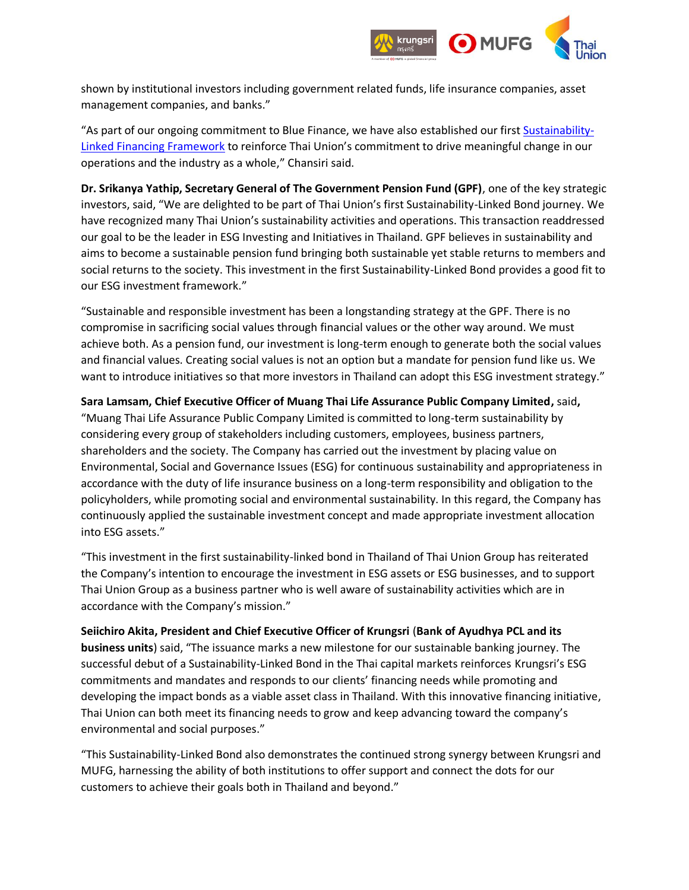

shown by institutional investors including government related funds, life insurance companies, asset management companies, and banks."

"As part of our ongoing commitment to Blue Finance, we have also established our first [Sustainability-](https://investor.thaiunion.com/sustainable.html)[Linked Financing Framework](https://investor.thaiunion.com/sustainable.html) to reinforce Thai Union's commitment to drive meaningful change in our operations and the industry as a whole," Chansiri said.

**Dr. Srikanya Yathip, Secretary General of The Government Pension Fund (GPF)**, one of the key strategic investors, said, "We are delighted to be part of Thai Union's first Sustainability-Linked Bond journey. We have recognized many Thai Union's sustainability activities and operations. This transaction readdressed our goal to be the leader in ESG Investing and Initiatives in Thailand. GPF believes in sustainability and aims to become a sustainable pension fund bringing both sustainable yet stable returns to members and social returns to the society. This investment in the first Sustainability-Linked Bond provides a good fit to our ESG investment framework."

"Sustainable and responsible investment has been a longstanding strategy at the GPF. There is no compromise in sacrificing social values through financial values or the other way around. We must achieve both. As a pension fund, our investment is long-term enough to generate both the social values and financial values. Creating social values is not an option but a mandate for pension fund like us. We want to introduce initiatives so that more investors in Thailand can adopt this ESG investment strategy."

**Sara Lamsam, Chief Executive Officer of Muang Thai Life Assurance Public Company Limited,** said**,**  "Muang Thai Life Assurance Public Company Limited is committed to long-term sustainability by considering every group of stakeholders including customers, employees, business partners, shareholders and the society. The Company has carried out the investment by placing value on Environmental, Social and Governance Issues (ESG) for continuous sustainability and appropriateness in accordance with the duty of life insurance business on a long-term responsibility and obligation to the policyholders, while promoting social and environmental sustainability. In this regard, the Company has continuously applied the sustainable investment concept and made appropriate investment allocation into ESG assets."

"This investment in the first sustainability-linked bond in Thailand of Thai Union Group has reiterated the Company's intention to encourage the investment in ESG assets or ESG businesses, and to support Thai Union Group as a business partner who is well aware of sustainability activities which are in accordance with the Company's mission."

**Seiichiro Akita, President and Chief Executive Officer of Krungsri** (**Bank of Ayudhya PCL and its business units**) said, "The issuance marks a new milestone for our sustainable banking journey. The successful debut of a Sustainability-Linked Bond in the Thai capital markets reinforces Krungsri's ESG commitments and mandates and responds to our clients' financing needs while promoting and developing the impact bonds as a viable asset class in Thailand. With this innovative financing initiative, Thai Union can both meet its financing needs to grow and keep advancing toward the company's environmental and social purposes."

"This Sustainability-Linked Bond also demonstrates the continued strong synergy between Krungsri and MUFG, harnessing the ability of both institutions to offer support and connect the dots for our customers to achieve their goals both in Thailand and beyond."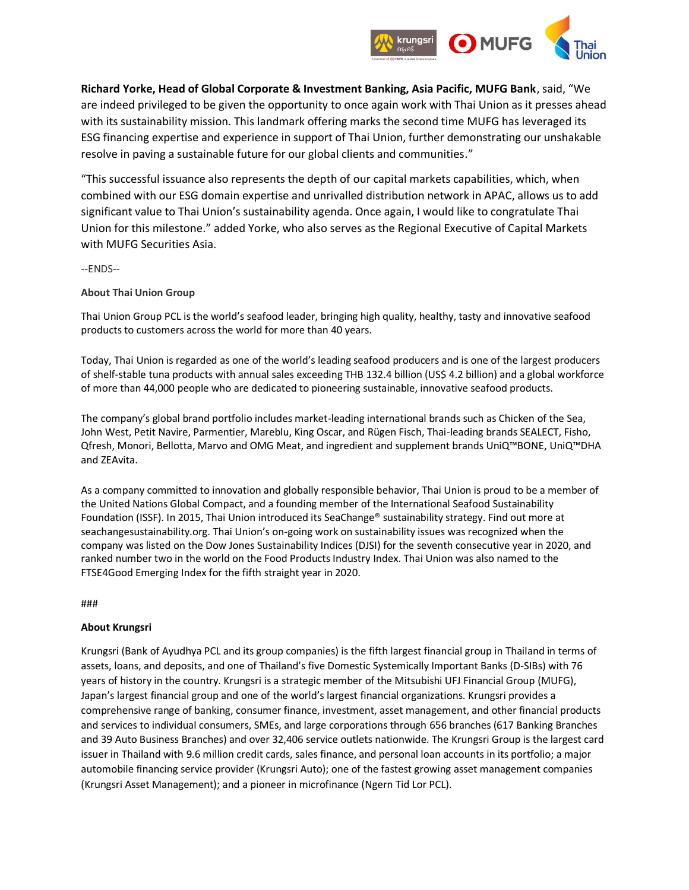

**Richard Yorke, Head of Global Corporate & Investment Banking, Asia Pacific, MUFG Bank**, said, "We are indeed privileged to be given the opportunity to once again work with Thai Union as it presses ahead with its sustainability mission. This landmark offering marks the second time MUFG has leveraged its ESG financing expertise and experience in support of Thai Union, further demonstrating our unshakable resolve in paving a sustainable future for our global clients and communities."

"This successful issuance also represents the depth of our capital markets capabilities, which, when combined with our ESG domain expertise and unrivalled distribution network in APAC, allows us to add significant value to Thai Union's sustainability agenda. Once again, I would like to congratulate Thai Union for this milestone." added Yorke, who also serves as the Regional Executive of Capital Markets with MUFG Securities Asia.

--ENDS--

## **About Thai Union Group**

Thai Union Group PCL is the world's seafood leader, bringing high quality, healthy, tasty and innovative seafood products to customers across the world for more than 40 years.

Today, Thai Union is regarded as one of the world's leading seafood producers and is one of the largest producers of shelf-stable tuna products with annual sales exceeding THB 132.4 billion (US\$ 4.2 billion) and a global workforce of more than 44,000 people who are dedicated to pioneering sustainable, innovative seafood products.

The company's global brand portfolio includes market-leading international brands such as Chicken of the Sea, John West, Petit Navire, Parmentier, Mareblu, King Oscar, and Rügen Fisch, Thai-leading brands SEALECT, Fisho, Qfresh, Monori, Bellotta, Marvo and OMG Meat, and ingredient and supplement brands UniQ™BONE, UniQ™DHA and ZEAvita.

As a company committed to innovation and globally responsible behavior, Thai Union is proud to be a member of the United Nations Global Compact, and a founding member of the International Seafood Sustainability Foundation (ISSF). In 2015, Thai Union introduced its [SeaChange®](https://apc01.safelinks.protection.outlook.com/?url=https%3A%2F%2Fseachangesustainability.org%2F&data=04%7C01%7CJohn.Merva%40thaiunion.com%7Cf698f167c3fb49b689ba08d94823700a%7C20e3917dfdba4aee911681c79e035d4a%7C0%7C0%7C637620139329133706%7CUnknown%7CTWFpbGZsb3d8eyJWIjoiMC4wLjAwMDAiLCJQIjoiV2luMzIiLCJBTiI6Ik1haWwiLCJXVCI6Mn0%3D%7C1000&sdata=npPtL2g0V3qXbYf7qibZ0nXD5LlMDhhStzYe6QbXEgM%3D&reserved=0) sustainability strategy. Find out more at seachangesustainability.org. Thai Union's on-going work on sustainability issues was recognized when the company was listed on the Dow Jones Sustainability Indices (DJSI) for the seventh consecutive year in 2020, and ranked number two in the world on the Food Products Industry Index. Thai Union was also named to the FTSE4Good Emerging Index for the fifth straight year in 2020.

###

## **About Krungsri**

Krungsri (Bank of Ayudhya PCL and its group companies) is the fifth largest financial group in Thailand in terms of assets, loans, and deposits, and one of Thailand's five Domestic Systemically Important Banks (D-SIBs) with 76 years of history in the country. Krungsri is a strategic member of the Mitsubishi UFJ Financial Group (MUFG), Japan's largest financial group and one of the world's largest financial organizations. Krungsri provides a comprehensive range of banking, consumer finance, investment, asset management, and other financial products and services to individual consumers, SMEs, and large corporations through 656 branches (617 Banking Branches and 39 Auto Business Branches) and over 32,406 service outlets nationwide. The Krungsri Group is the largest card issuer in Thailand with 9.6 million credit cards, sales finance, and personal loan accounts in its portfolio; a major automobile financing service provider (Krungsri Auto); one of the fastest growing asset management companies (Krungsri Asset Management); and a pioneer in microfinance (Ngern Tid Lor PCL).